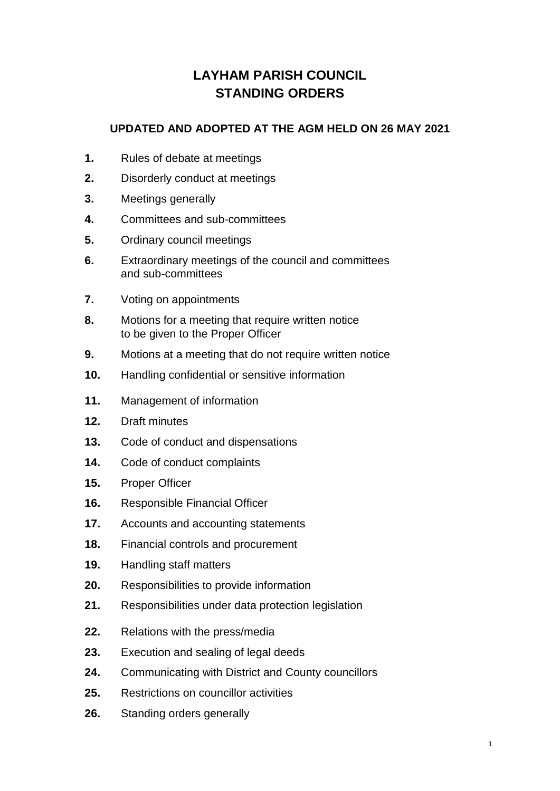# **LAYHAM PARISH COUNCIL STANDING ORDERS**

#### **UPDATED AND ADOPTED AT THE AGM HELD ON 26 MAY 2021**

- **1.** Rules of debate at meetings
- **2.** Disorderly conduct at meetings
- **3.** Meetings generally
- **4.** Committees and sub-committees
- **5.** Ordinary council meetings
- **6.** Extraordinary meetings of the council and committees and sub-committees
- **7.** Voting on appointments
- **8.** Motions for a meeting that require written notice to be given to the Proper Officer
- **9.** Motions at a meeting that do not require written notice
- **10.** Handling confidential or sensitive information
- **11.** Management of information
- **12.** Draft minutes
- **13.** Code of conduct and dispensations
- **14.** Code of conduct complaints
- **15.** Proper Officer
- **16.** Responsible Financial Officer
- **17.** Accounts and accounting statements
- **18.** Financial controls and procurement
- **19.** Handling staff matters
- **20.** Responsibilities to provide information
- **21.** Responsibilities under data protection legislation
- **22.** Relations with the press/media
- **23.** Execution and sealing of legal deeds
- **24.** Communicating with District and County councillors
- **25.** Restrictions on councillor activities
- **26.** Standing orders generally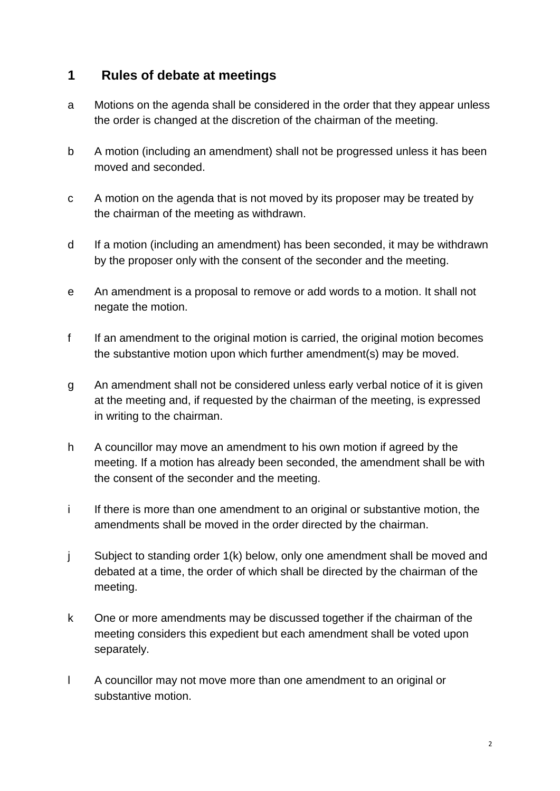### **1 Rules of debate at meetings**

- a Motions on the agenda shall be considered in the order that they appear unless the order is changed at the discretion of the chairman of the meeting.
- b A motion (including an amendment) shall not be progressed unless it has been moved and seconded.
- c A motion on the agenda that is not moved by its proposer may be treated by the chairman of the meeting as withdrawn.
- d If a motion (including an amendment) has been seconded, it may be withdrawn by the proposer only with the consent of the seconder and the meeting.
- e An amendment is a proposal to remove or add words to a motion. It shall not negate the motion.
- f If an amendment to the original motion is carried, the original motion becomes the substantive motion upon which further amendment(s) may be moved.
- g An amendment shall not be considered unless early verbal notice of it is given at the meeting and, if requested by the chairman of the meeting, is expressed in writing to the chairman.
- h A councillor may move an amendment to his own motion if agreed by the meeting. If a motion has already been seconded, the amendment shall be with the consent of the seconder and the meeting.
- i If there is more than one amendment to an original or substantive motion, the amendments shall be moved in the order directed by the chairman.
- j Subject to standing order 1(k) below, only one amendment shall be moved and debated at a time, the order of which shall be directed by the chairman of the meeting.
- k One or more amendments may be discussed together if the chairman of the meeting considers this expedient but each amendment shall be voted upon separately.
- l A councillor may not move more than one amendment to an original or substantive motion.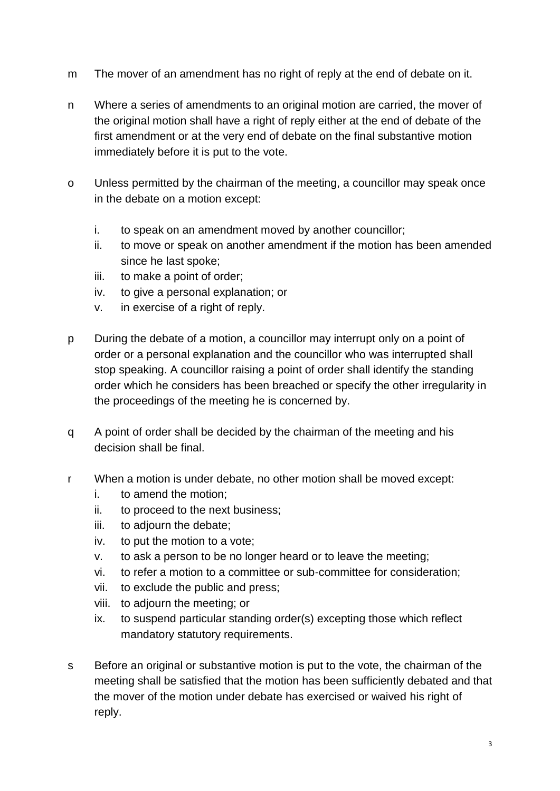- m The mover of an amendment has no right of reply at the end of debate on it.
- n Where a series of amendments to an original motion are carried, the mover of the original motion shall have a right of reply either at the end of debate of the first amendment or at the very end of debate on the final substantive motion immediately before it is put to the vote.
- o Unless permitted by the chairman of the meeting, a councillor may speak once in the debate on a motion except:
	- i. to speak on an amendment moved by another councillor;
	- ii. to move or speak on another amendment if the motion has been amended since he last spoke;
	- iii. to make a point of order;
	- iv. to give a personal explanation; or
	- v. in exercise of a right of reply.
- p During the debate of a motion, a councillor may interrupt only on a point of order or a personal explanation and the councillor who was interrupted shall stop speaking. A councillor raising a point of order shall identify the standing order which he considers has been breached or specify the other irregularity in the proceedings of the meeting he is concerned by.
- q A point of order shall be decided by the chairman of the meeting and his decision shall be final.
- r When a motion is under debate, no other motion shall be moved except:
	- i. to amend the motion;
	- ii. to proceed to the next business;
	- iii. to adjourn the debate;
	- iv. to put the motion to a vote;
	- v. to ask a person to be no longer heard or to leave the meeting;
	- vi. to refer a motion to a committee or sub-committee for consideration;
	- vii. to exclude the public and press;
	- viii. to adjourn the meeting; or
	- ix. to suspend particular standing order(s) excepting those which reflect mandatory statutory requirements.
- s Before an original or substantive motion is put to the vote, the chairman of the meeting shall be satisfied that the motion has been sufficiently debated and that the mover of the motion under debate has exercised or waived his right of reply.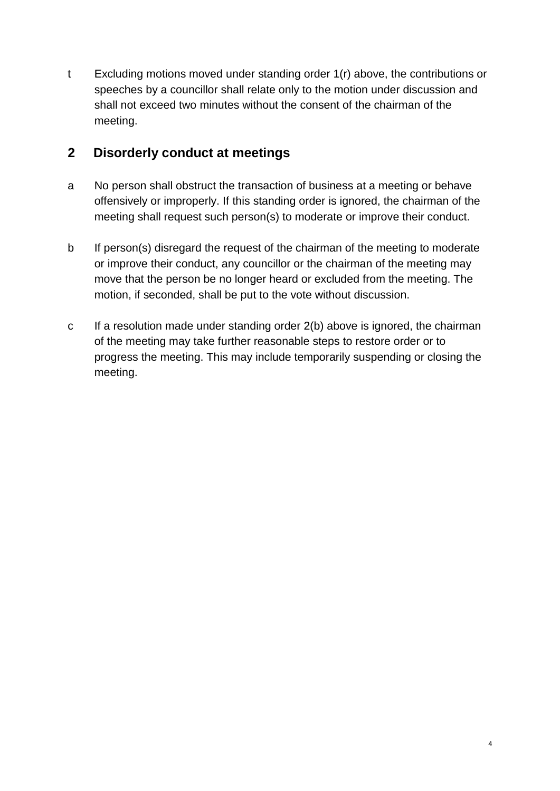t Excluding motions moved under standing order 1(r) above, the contributions or speeches by a councillor shall relate only to the motion under discussion and shall not exceed two minutes without the consent of the chairman of the meeting.

## **2 Disorderly conduct at meetings**

- a No person shall obstruct the transaction of business at a meeting or behave offensively or improperly. If this standing order is ignored, the chairman of the meeting shall request such person(s) to moderate or improve their conduct.
- b If person(s) disregard the request of the chairman of the meeting to moderate or improve their conduct, any councillor or the chairman of the meeting may move that the person be no longer heard or excluded from the meeting. The motion, if seconded, shall be put to the vote without discussion.
- c If a resolution made under standing order 2(b) above is ignored, the chairman of the meeting may take further reasonable steps to restore order or to progress the meeting. This may include temporarily suspending or closing the meeting.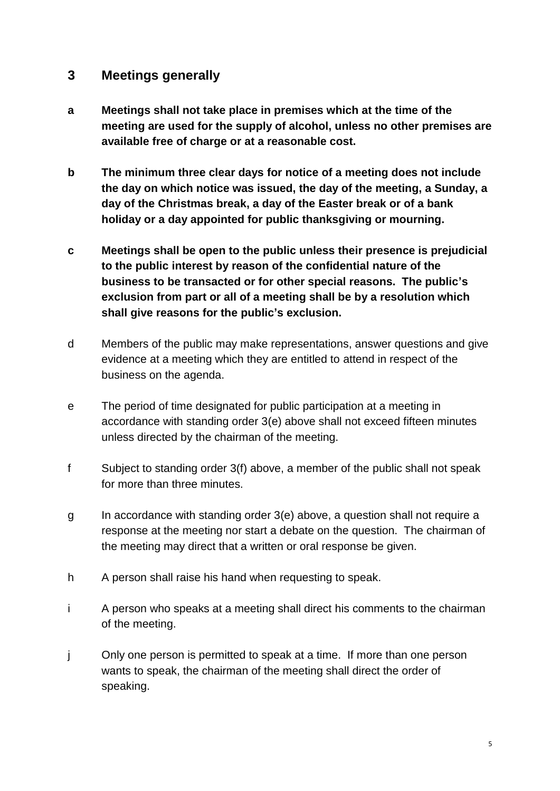#### **3 Meetings generally**

- **a Meetings shall not take place in premises which at the time of the meeting are used for the supply of alcohol, unless no other premises are available free of charge or at a reasonable cost.**
- **b The minimum three clear days for notice of a meeting does not include the day on which notice was issued, the day of the meeting, a Sunday, a day of the Christmas break, a day of the Easter break or of a bank holiday or a day appointed for public thanksgiving or mourning.**
- **c Meetings shall be open to the public unless their presence is prejudicial to the public interest by reason of the confidential nature of the business to be transacted or for other special reasons. The public's exclusion from part or all of a meeting shall be by a resolution which shall give reasons for the public's exclusion.**
- d Members of the public may make representations, answer questions and give evidence at a meeting which they are entitled to attend in respect of the business on the agenda.
- e The period of time designated for public participation at a meeting in accordance with standing order 3(e) above shall not exceed fifteen minutes unless directed by the chairman of the meeting.
- f Subject to standing order 3(f) above, a member of the public shall not speak for more than three minutes.
- g In accordance with standing order 3(e) above, a question shall not require a response at the meeting nor start a debate on the question. The chairman of the meeting may direct that a written or oral response be given.
- h A person shall raise his hand when requesting to speak.
- i A person who speaks at a meeting shall direct his comments to the chairman of the meeting.
- j Only one person is permitted to speak at a time. If more than one person wants to speak, the chairman of the meeting shall direct the order of speaking.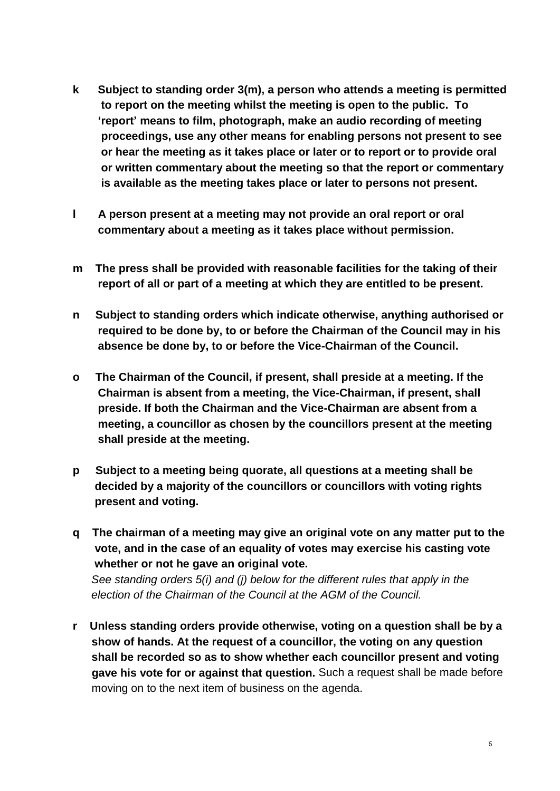- **k Subject to standing order 3(m), a person who attends a meeting is permitted to report on the meeting whilst the meeting is open to the public. To 'report' means to film, photograph, make an audio recording of meeting proceedings, use any other means for enabling persons not present to see or hear the meeting as it takes place or later or to report or to provide oral or written commentary about the meeting so that the report or commentary is available as the meeting takes place or later to persons not present.**
- **l A person present at a meeting may not provide an oral report or oral commentary about a meeting as it takes place without permission.**
- **m The press shall be provided with reasonable facilities for the taking of their report of all or part of a meeting at which they are entitled to be present.**
- **n Subject to standing orders which indicate otherwise, anything authorised or required to be done by, to or before the Chairman of the Council may in his absence be done by, to or before the Vice-Chairman of the Council.**
- **o The Chairman of the Council, if present, shall preside at a meeting. If the Chairman is absent from a meeting, the Vice-Chairman, if present, shall preside. If both the Chairman and the Vice-Chairman are absent from a meeting, a councillor as chosen by the councillors present at the meeting shall preside at the meeting.**
- **p Subject to a meeting being quorate, all questions at a meeting shall be decided by a majority of the councillors or councillors with voting rights present and voting.**
- **q The chairman of a meeting may give an original vote on any matter put to the vote, and in the case of an equality of votes may exercise his casting vote whether or not he gave an original vote.** *See standing orders 5(i) and (j) below for the different rules that apply in the*

*election of the Chairman of the Council at the AGM of the Council.*

**r Unless standing orders provide otherwise, voting on a question shall be by a show of hands. At the request of a councillor, the voting on any question shall be recorded so as to show whether each councillor present and voting gave his vote for or against that question.** Such a request shall be made before moving on to the next item of business on the agenda.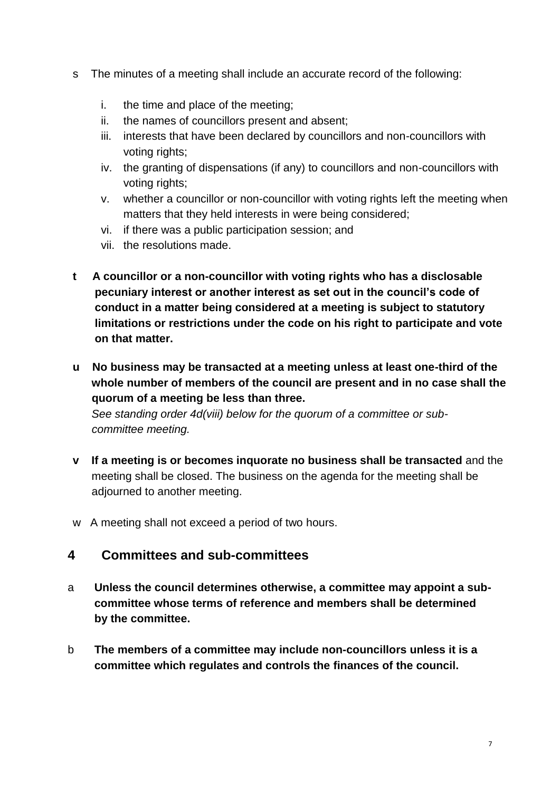- s The minutes of a meeting shall include an accurate record of the following:
	- i. the time and place of the meeting;
	- ii. the names of councillors present and absent;
	- iii. interests that have been declared by councillors and non-councillors with voting rights;
	- iv. the granting of dispensations (if any) to councillors and non-councillors with voting rights;
	- v. whether a councillor or non-councillor with voting rights left the meeting when matters that they held interests in were being considered;
	- vi. if there was a public participation session; and
	- vii. the resolutions made.
- **t A councillor or a non-councillor with voting rights who has a disclosable pecuniary interest or another interest as set out in the council's code of conduct in a matter being considered at a meeting is subject to statutory limitations or restrictions under the code on his right to participate and vote on that matter.**
- **u No business may be transacted at a meeting unless at least one-third of the whole number of members of the council are present and in no case shall the quorum of a meeting be less than three.**

 *See standing order 4d(viii) below for the quorum of a committee or sub committee meeting.* 

- **v If a meeting is or becomes inquorate no business shall be transacted** and the meeting shall be closed. The business on the agenda for the meeting shall be adjourned to another meeting.
- w A meeting shall not exceed a period of two hours.

#### **4 Committees and sub-committees**

- a **Unless the council determines otherwise, a committee may appoint a subcommittee whose terms of reference and members shall be determined by the committee.**
- b **The members of a committee may include non-councillors unless it is a committee which regulates and controls the finances of the council.**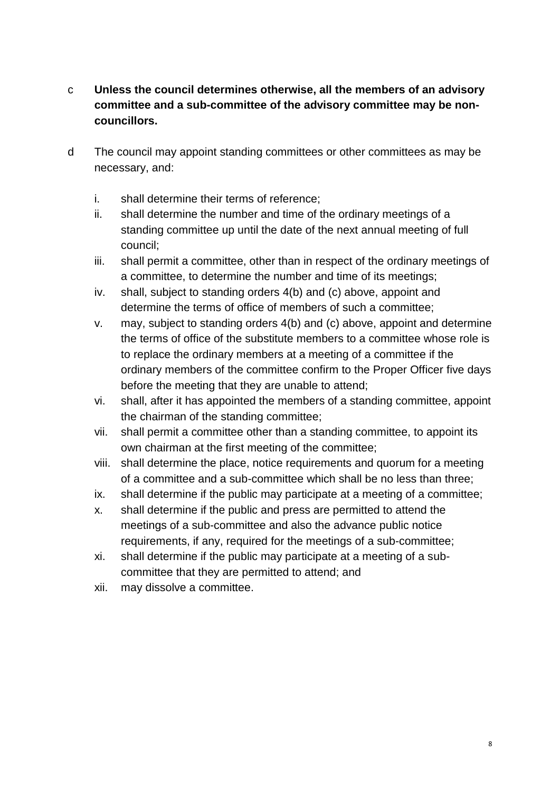- c **Unless the council determines otherwise, all the members of an advisory committee and a sub-committee of the advisory committee may be noncouncillors.**
- d The council may appoint standing committees or other committees as may be necessary, and:
	- i. shall determine their terms of reference;
	- ii. shall determine the number and time of the ordinary meetings of a standing committee up until the date of the next annual meeting of full council;
	- iii. shall permit a committee, other than in respect of the ordinary meetings of a committee, to determine the number and time of its meetings;
	- iv. shall, subject to standing orders 4(b) and (c) above, appoint and determine the terms of office of members of such a committee;
	- v. may, subject to standing orders 4(b) and (c) above, appoint and determine the terms of office of the substitute members to a committee whose role is to replace the ordinary members at a meeting of a committee if the ordinary members of the committee confirm to the Proper Officer five days before the meeting that they are unable to attend;
	- vi. shall, after it has appointed the members of a standing committee, appoint the chairman of the standing committee;
	- vii. shall permit a committee other than a standing committee, to appoint its own chairman at the first meeting of the committee;
	- viii. shall determine the place, notice requirements and quorum for a meeting of a committee and a sub-committee which shall be no less than three;
	- ix. shall determine if the public may participate at a meeting of a committee;
	- x. shall determine if the public and press are permitted to attend the meetings of a sub-committee and also the advance public notice requirements, if any, required for the meetings of a sub-committee;
	- xi. shall determine if the public may participate at a meeting of a subcommittee that they are permitted to attend; and
	- xii. may dissolve a committee.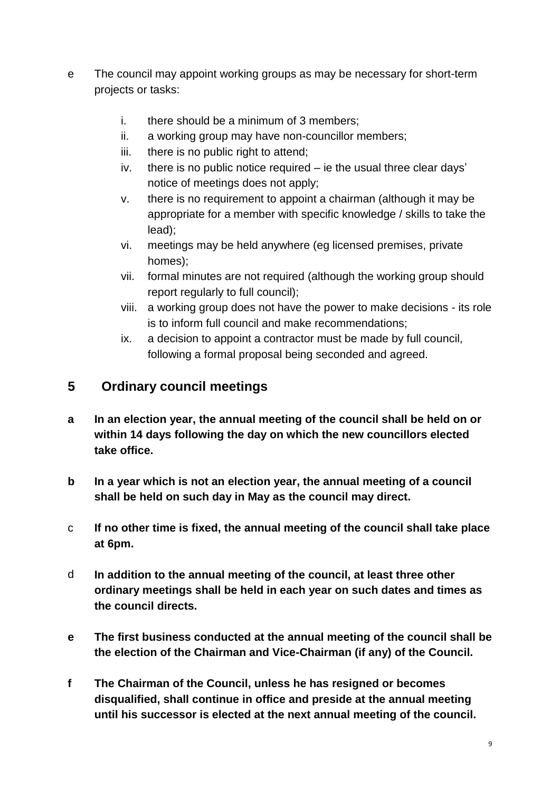- e The council may appoint working groups as may be necessary for short-term projects or tasks:
	- i. there should be a minimum of 3 members;
	- ii. a working group may have non-councillor members;
	- iii. there is no public right to attend;
	- iv. there is no public notice required ie the usual three clear days' notice of meetings does not apply;
	- v. there is no requirement to appoint a chairman (although it may be appropriate for a member with specific knowledge / skills to take the lead);
	- vi. meetings may be held anywhere (eg licensed premises, private homes);
	- vii. formal minutes are not required (although the working group should report regularly to full council);
	- viii. a working group does not have the power to make decisions its role is to inform full council and make recommendations;
	- ix. a decision to appoint a contractor must be made by full council, following a formal proposal being seconded and agreed.

### **5 Ordinary council meetings**

- **a In an election year, the annual meeting of the council shall be held on or within 14 days following the day on which the new councillors elected take office.**
- **b In a year which is not an election year, the annual meeting of a council shall be held on such day in May as the council may direct.**
- c **If no other time is fixed, the annual meeting of the council shall take place at 6pm.**
- d **In addition to the annual meeting of the council, at least three other ordinary meetings shall be held in each year on such dates and times as the council directs.**
- **e The first business conducted at the annual meeting of the council shall be the election of the Chairman and Vice-Chairman (if any) of the Council.**
- **f The Chairman of the Council, unless he has resigned or becomes disqualified, shall continue in office and preside at the annual meeting until his successor is elected at the next annual meeting of the council.**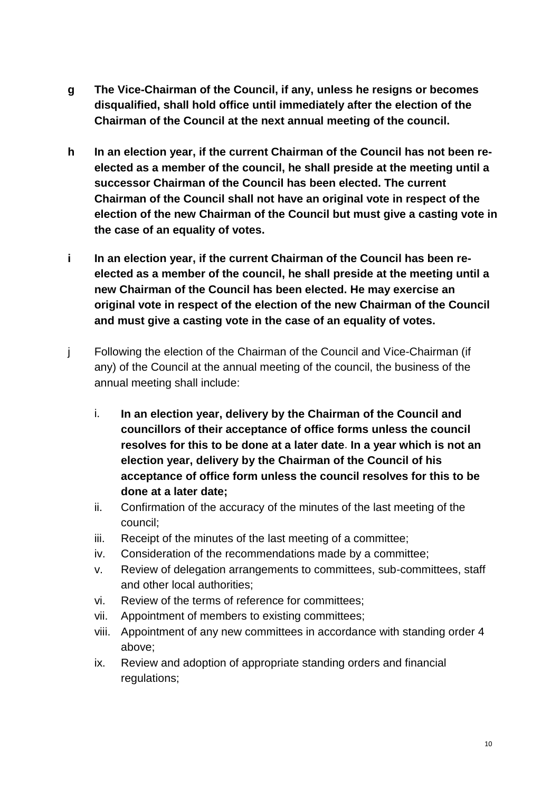- **g The Vice-Chairman of the Council, if any, unless he resigns or becomes disqualified, shall hold office until immediately after the election of the Chairman of the Council at the next annual meeting of the council.**
- **h In an election year, if the current Chairman of the Council has not been reelected as a member of the council, he shall preside at the meeting until a successor Chairman of the Council has been elected. The current Chairman of the Council shall not have an original vote in respect of the election of the new Chairman of the Council but must give a casting vote in the case of an equality of votes.**
- **i In an election year, if the current Chairman of the Council has been reelected as a member of the council, he shall preside at the meeting until a new Chairman of the Council has been elected. He may exercise an original vote in respect of the election of the new Chairman of the Council and must give a casting vote in the case of an equality of votes.**
- j Following the election of the Chairman of the Council and Vice-Chairman (if any) of the Council at the annual meeting of the council, the business of the annual meeting shall include:
	- i. **In an election year, delivery by the Chairman of the Council and councillors of their acceptance of office forms unless the council resolves for this to be done at a later date**. **In a year which is not an election year, delivery by the Chairman of the Council of his acceptance of office form unless the council resolves for this to be done at a later date;**
	- ii. Confirmation of the accuracy of the minutes of the last meeting of the council;
	- iii. Receipt of the minutes of the last meeting of a committee;
	- iv. Consideration of the recommendations made by a committee;
	- v. Review of delegation arrangements to committees, sub-committees, staff and other local authorities;
	- vi. Review of the terms of reference for committees;
	- vii. Appointment of members to existing committees;
	- viii. Appointment of any new committees in accordance with standing order 4 above;
	- ix. Review and adoption of appropriate standing orders and financial regulations;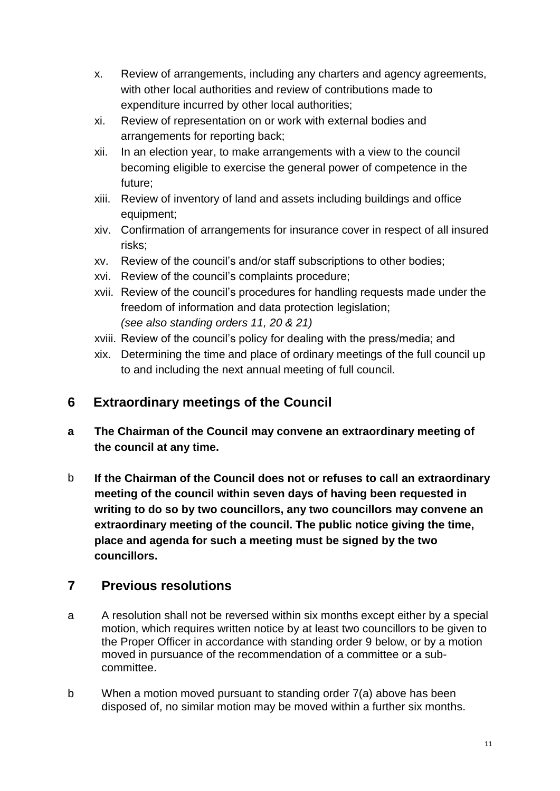- x. Review of arrangements, including any charters and agency agreements, with other local authorities and review of contributions made to expenditure incurred by other local authorities;
- xi. Review of representation on or work with external bodies and arrangements for reporting back;
- xii. In an election year, to make arrangements with a view to the council becoming eligible to exercise the general power of competence in the future;
- xiii. Review of inventory of land and assets including buildings and office equipment;
- xiv. Confirmation of arrangements for insurance cover in respect of all insured risks;
- xv. Review of the council's and/or staff subscriptions to other bodies;
- xvi. Review of the council's complaints procedure;
- xvii. Review of the council's procedures for handling requests made under the freedom of information and data protection legislation; *(see also standing orders 11, 20 & 21)*
- xviii. Review of the council's policy for dealing with the press/media; and
- xix. Determining the time and place of ordinary meetings of the full council up to and including the next annual meeting of full council.

# **6 Extraordinary meetings of the Council**

- **a The Chairman of the Council may convene an extraordinary meeting of the council at any time.**
- b **If the Chairman of the Council does not or refuses to call an extraordinary meeting of the council within seven days of having been requested in writing to do so by two councillors, any two councillors may convene an extraordinary meeting of the council. The public notice giving the time, place and agenda for such a meeting must be signed by the two councillors.**

# **7 Previous resolutions**

- a A resolution shall not be reversed within six months except either by a special motion, which requires written notice by at least two councillors to be given to the Proper Officer in accordance with standing order 9 below, or by a motion moved in pursuance of the recommendation of a committee or a subcommittee.
- b When a motion moved pursuant to standing order 7(a) above has been disposed of, no similar motion may be moved within a further six months.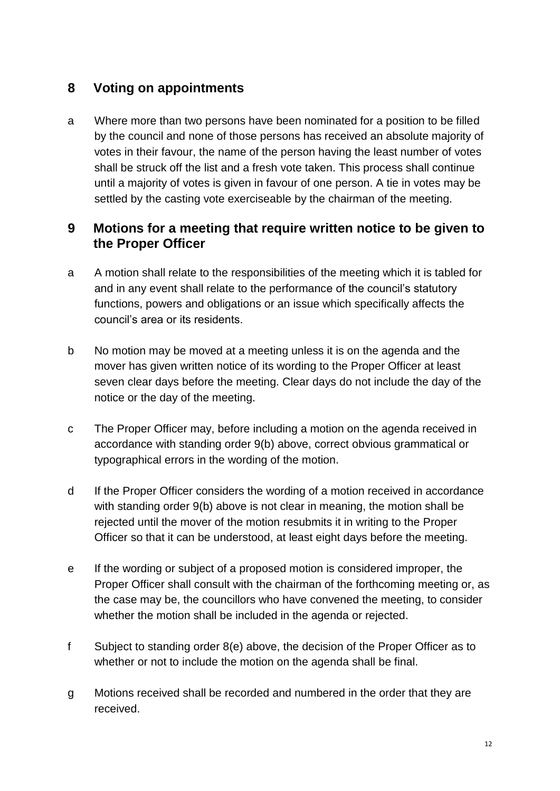# **8 Voting on appointments**

a Where more than two persons have been nominated for a position to be filled by the council and none of those persons has received an absolute majority of votes in their favour, the name of the person having the least number of votes shall be struck off the list and a fresh vote taken. This process shall continue until a majority of votes is given in favour of one person. A tie in votes may be settled by the casting vote exerciseable by the chairman of the meeting.

#### **9 Motions for a meeting that require written notice to be given to the Proper Officer**

- a A motion shall relate to the responsibilities of the meeting which it is tabled for and in any event shall relate to the performance of the council's statutory functions, powers and obligations or an issue which specifically affects the council's area or its residents.
- b No motion may be moved at a meeting unless it is on the agenda and the mover has given written notice of its wording to the Proper Officer at least seven clear days before the meeting. Clear days do not include the day of the notice or the day of the meeting.
- c The Proper Officer may, before including a motion on the agenda received in accordance with standing order 9(b) above, correct obvious grammatical or typographical errors in the wording of the motion.
- d If the Proper Officer considers the wording of a motion received in accordance with standing order 9(b) above is not clear in meaning, the motion shall be rejected until the mover of the motion resubmits it in writing to the Proper Officer so that it can be understood, at least eight days before the meeting.
- e If the wording or subject of a proposed motion is considered improper, the Proper Officer shall consult with the chairman of the forthcoming meeting or, as the case may be, the councillors who have convened the meeting, to consider whether the motion shall be included in the agenda or rejected.
- f Subject to standing order 8(e) above, the decision of the Proper Officer as to whether or not to include the motion on the agenda shall be final.
- g Motions received shall be recorded and numbered in the order that they are received.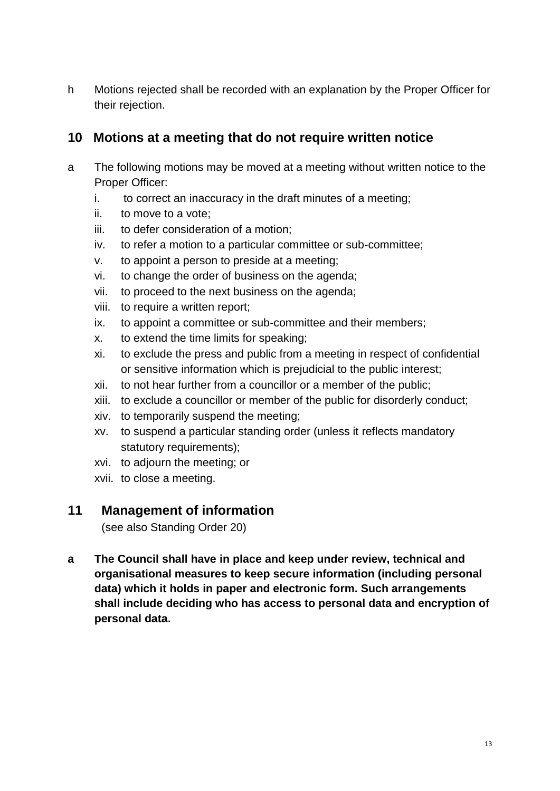h Motions rejected shall be recorded with an explanation by the Proper Officer for their rejection.

## **10 Motions at a meeting that do not require written notice**

- a The following motions may be moved at a meeting without written notice to the Proper Officer:
	- i. to correct an inaccuracy in the draft minutes of a meeting;
	- ii. to move to a vote;
	- iii. to defer consideration of a motion;
	- iv. to refer a motion to a particular committee or sub-committee;
	- v. to appoint a person to preside at a meeting;
	- vi. to change the order of business on the agenda;
	- vii. to proceed to the next business on the agenda;
	- viii. to require a written report;
	- ix. to appoint a committee or sub-committee and their members;
	- x. to extend the time limits for speaking;
	- xi. to exclude the press and public from a meeting in respect of confidential or sensitive information which is prejudicial to the public interest;
	- xii. to not hear further from a councillor or a member of the public;
	- xiii. to exclude a councillor or member of the public for disorderly conduct;
	- xiv. to temporarily suspend the meeting;
	- xv. to suspend a particular standing order (unless it reflects mandatory statutory requirements):
	- xvi. to adjourn the meeting; or
	- xvii. to close a meeting.

#### **11 Management of information**

(see also Standing Order 20)

**a The Council shall have in place and keep under review, technical and organisational measures to keep secure information (including personal data) which it holds in paper and electronic form. Such arrangements shall include deciding who has access to personal data and encryption of personal data.**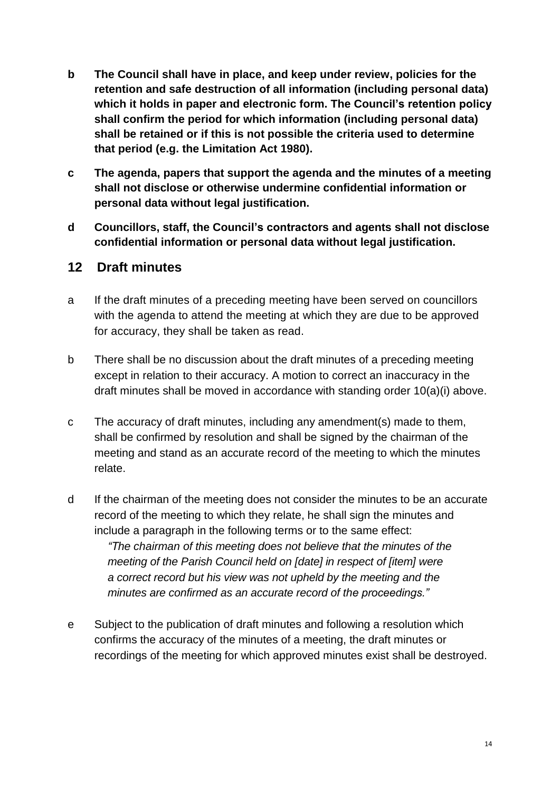- **b The Council shall have in place, and keep under review, policies for the retention and safe destruction of all information (including personal data) which it holds in paper and electronic form. The Council's retention policy shall confirm the period for which information (including personal data) shall be retained or if this is not possible the criteria used to determine that period (e.g. the Limitation Act 1980).**
- **c The agenda, papers that support the agenda and the minutes of a meeting shall not disclose or otherwise undermine confidential information or personal data without legal justification.**
- **d Councillors, staff, the Council's contractors and agents shall not disclose confidential information or personal data without legal justification.**

#### **12 Draft minutes**

- a If the draft minutes of a preceding meeting have been served on councillors with the agenda to attend the meeting at which they are due to be approved for accuracy, they shall be taken as read.
- b There shall be no discussion about the draft minutes of a preceding meeting except in relation to their accuracy. A motion to correct an inaccuracy in the draft minutes shall be moved in accordance with standing order 10(a)(i) above.
- c The accuracy of draft minutes, including any amendment(s) made to them, shall be confirmed by resolution and shall be signed by the chairman of the meeting and stand as an accurate record of the meeting to which the minutes relate.
- d If the chairman of the meeting does not consider the minutes to be an accurate record of the meeting to which they relate, he shall sign the minutes and include a paragraph in the following terms or to the same effect: *"The chairman of this meeting does not believe that the minutes of the meeting of the Parish Council held on [date] in respect of [item] were a correct record but his view was not upheld by the meeting and the minutes are confirmed as an accurate record of the proceedings."*
- e Subject to the publication of draft minutes and following a resolution which confirms the accuracy of the minutes of a meeting, the draft minutes or recordings of the meeting for which approved minutes exist shall be destroyed.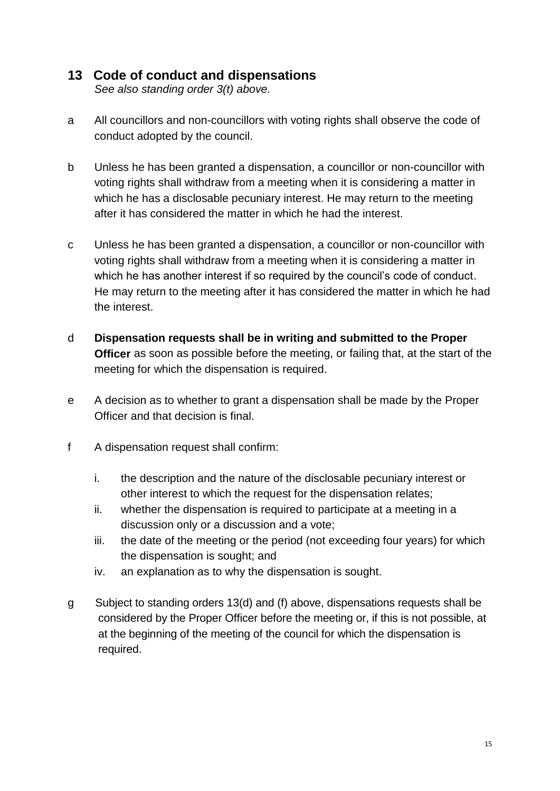### **13 Code of conduct and dispensations**

*See also standing order 3(t) above.* 

- a All councillors and non-councillors with voting rights shall observe the code of conduct adopted by the council.
- b Unless he has been granted a dispensation, a councillor or non-councillor with voting rights shall withdraw from a meeting when it is considering a matter in which he has a disclosable pecuniary interest. He may return to the meeting after it has considered the matter in which he had the interest.
- c Unless he has been granted a dispensation, a councillor or non-councillor with voting rights shall withdraw from a meeting when it is considering a matter in which he has another interest if so required by the council's code of conduct. He may return to the meeting after it has considered the matter in which he had the interest.
- d **Dispensation requests shall be in writing and submitted to the Proper Officer** as soon as possible before the meeting, or failing that, at the start of the meeting for which the dispensation is required.
- e A decision as to whether to grant a dispensation shall be made by the Proper Officer and that decision is final.
- f A dispensation request shall confirm:
	- i. the description and the nature of the disclosable pecuniary interest or other interest to which the request for the dispensation relates;
	- ii. whether the dispensation is required to participate at a meeting in a discussion only or a discussion and a vote;
	- iii. the date of the meeting or the period (not exceeding four years) for which the dispensation is sought; and
	- iv. an explanation as to why the dispensation is sought.
- g Subject to standing orders 13(d) and (f) above, dispensations requests shall be considered by the Proper Officer before the meeting or, if this is not possible, at at the beginning of the meeting of the council for which the dispensation is required.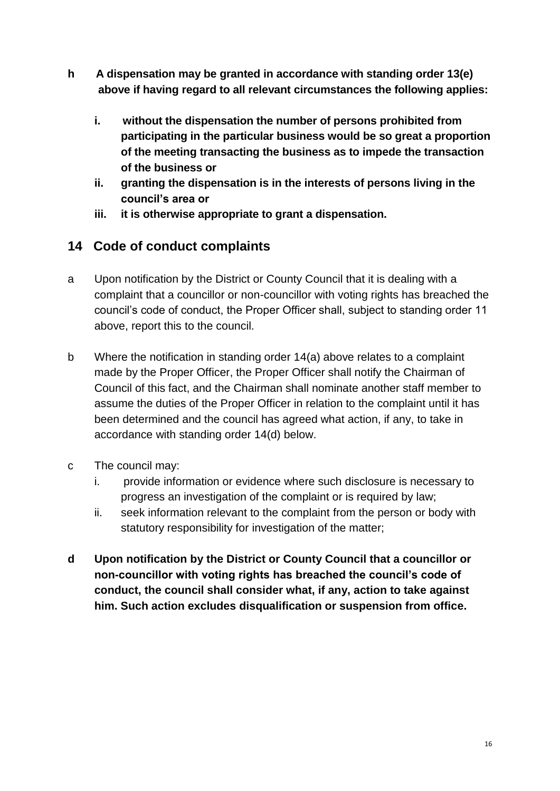- **h A dispensation may be granted in accordance with standing order 13(e) above if having regard to all relevant circumstances the following applies:** 
	- **i. without the dispensation the number of persons prohibited from participating in the particular business would be so great a proportion of the meeting transacting the business as to impede the transaction of the business or**
	- **ii. granting the dispensation is in the interests of persons living in the council's area or**
	- **iii. it is otherwise appropriate to grant a dispensation.**

### **14 Code of conduct complaints**

- a Upon notification by the District or County Council that it is dealing with a complaint that a councillor or non-councillor with voting rights has breached the council's code of conduct, the Proper Officer shall, subject to standing order 11 above, report this to the council.
- b Where the notification in standing order 14(a) above relates to a complaint made by the Proper Officer, the Proper Officer shall notify the Chairman of Council of this fact, and the Chairman shall nominate another staff member to assume the duties of the Proper Officer in relation to the complaint until it has been determined and the council has agreed what action, if any, to take in accordance with standing order 14(d) below.
- c The council may:
	- i. provide information or evidence where such disclosure is necessary to progress an investigation of the complaint or is required by law;
	- ii. seek information relevant to the complaint from the person or body with statutory responsibility for investigation of the matter;
- **d Upon notification by the District or County Council that a councillor or non-councillor with voting rights has breached the council's code of conduct, the council shall consider what, if any, action to take against him. Such action excludes disqualification or suspension from office.**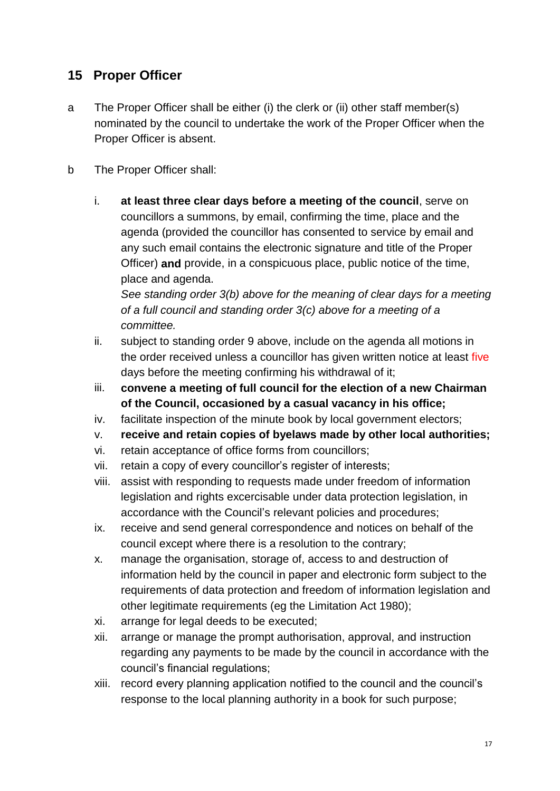# **15 Proper Officer**

- a The Proper Officer shall be either (i) the clerk or (ii) other staff member(s) nominated by the council to undertake the work of the Proper Officer when the Proper Officer is absent.
- b The Proper Officer shall:
	- i. **at least three clear days before a meeting of the council**, serve on councillors a summons, by email, confirming the time, place and the agenda (provided the councillor has consented to service by email and any such email contains the electronic signature and title of the Proper Officer) **and** provide, in a conspicuous place, public notice of the time, place and agenda.

*See standing order 3(b) above for the meaning of clear days for a meeting of a full council and standing order 3(c) above for a meeting of a committee.*

- ii. subject to standing order 9 above, include on the agenda all motions in the order received unless a councillor has given written notice at least five days before the meeting confirming his withdrawal of it;
- iii. **convene a meeting of full council for the election of a new Chairman of the Council, occasioned by a casual vacancy in his office;**
- iv. facilitate inspection of the minute book by local government electors;
- v. **receive and retain copies of byelaws made by other local authorities;**
- vi. retain acceptance of office forms from councillors;
- vii. retain a copy of every councillor's register of interests;
- viii. assist with responding to requests made under freedom of information legislation and rights excercisable under data protection legislation, in accordance with the Council's relevant policies and procedures;
- ix. receive and send general correspondence and notices on behalf of the council except where there is a resolution to the contrary;
- x. manage the organisation, storage of, access to and destruction of information held by the council in paper and electronic form subject to the requirements of data protection and freedom of information legislation and other legitimate requirements (eg the Limitation Act 1980);
- xi. arrange for legal deeds to be executed;
- xii. arrange or manage the prompt authorisation, approval, and instruction regarding any payments to be made by the council in accordance with the council's financial regulations;
- xiii. record every planning application notified to the council and the council's response to the local planning authority in a book for such purpose;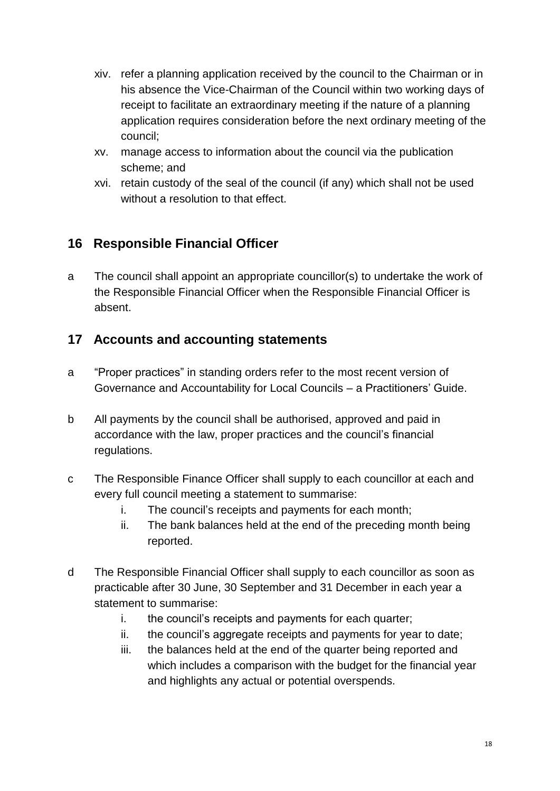- xiv. refer a planning application received by the council to the Chairman or in his absence the Vice-Chairman of the Council within two working days of receipt to facilitate an extraordinary meeting if the nature of a planning application requires consideration before the next ordinary meeting of the council;
- xv. manage access to information about the council via the publication scheme; and
- xvi. retain custody of the seal of the council (if any) which shall not be used without a resolution to that effect.

# **16 Responsible Financial Officer**

a The council shall appoint an appropriate councillor(s) to undertake the work of the Responsible Financial Officer when the Responsible Financial Officer is absent.

## **17 Accounts and accounting statements**

- a "Proper practices" in standing orders refer to the most recent version of Governance and Accountability for Local Councils – a Practitioners' Guide.
- b All payments by the council shall be authorised, approved and paid in accordance with the law, proper practices and the council's financial regulations.
- c The Responsible Finance Officer shall supply to each councillor at each and every full council meeting a statement to summarise:
	- i. The council's receipts and payments for each month;
	- ii. The bank balances held at the end of the preceding month being reported.
- d The Responsible Financial Officer shall supply to each councillor as soon as practicable after 30 June, 30 September and 31 December in each year a statement to summarise:
	- i. the council's receipts and payments for each quarter;
	- ii. the council's aggregate receipts and payments for year to date;
	- iii. the balances held at the end of the quarter being reported and which includes a comparison with the budget for the financial year and highlights any actual or potential overspends.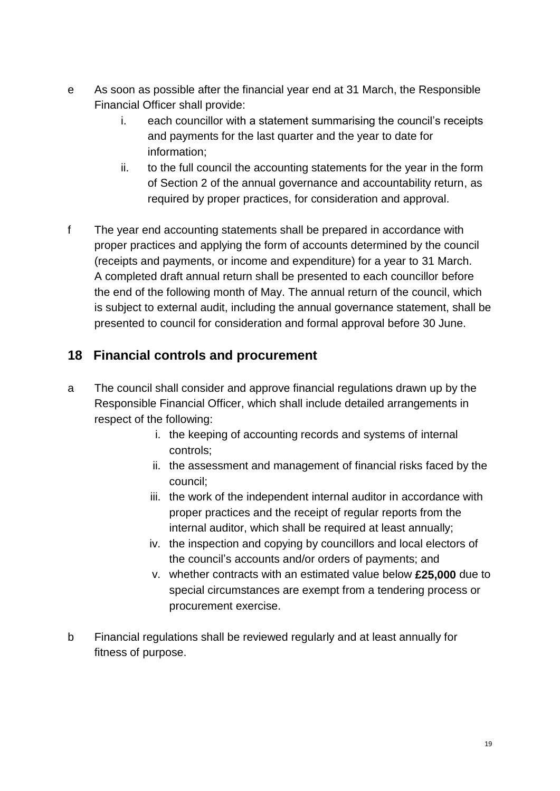- e As soon as possible after the financial year end at 31 March, the Responsible Financial Officer shall provide:
	- i. each councillor with a statement summarising the council's receipts and payments for the last quarter and the year to date for information;
	- ii. to the full council the accounting statements for the year in the form of Section 2 of the annual governance and accountability return, as required by proper practices, for consideration and approval.
- f The year end accounting statements shall be prepared in accordance with proper practices and applying the form of accounts determined by the council (receipts and payments, or income and expenditure) for a year to 31 March. A completed draft annual return shall be presented to each councillor before the end of the following month of May. The annual return of the council, which is subject to external audit, including the annual governance statement, shall be presented to council for consideration and formal approval before 30 June.

# **18 Financial controls and procurement**

- a The council shall consider and approve financial regulations drawn up by the Responsible Financial Officer, which shall include detailed arrangements in respect of the following:
	- i. the keeping of accounting records and systems of internal controls;
	- ii. the assessment and management of financial risks faced by the council;
	- iii. the work of the independent internal auditor in accordance with proper practices and the receipt of regular reports from the internal auditor, which shall be required at least annually;
	- iv. the inspection and copying by councillors and local electors of the council's accounts and/or orders of payments; and
	- v. whether contracts with an estimated value below **£25,000** due to special circumstances are exempt from a tendering process or procurement exercise.
- b Financial regulations shall be reviewed regularly and at least annually for fitness of purpose.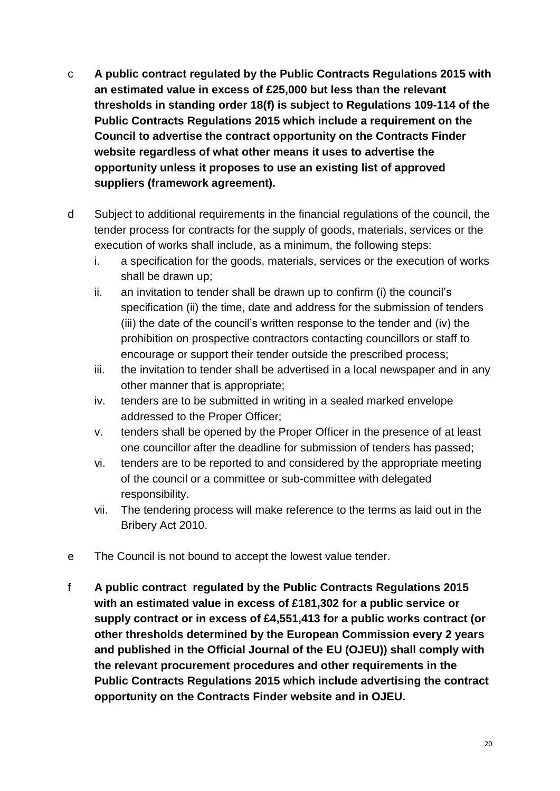- c **A public contract regulated by the Public Contracts Regulations 2015 with an estimated value in excess of £25,000 but less than the relevant thresholds in standing order 18(f) is subject to Regulations 109-114 of the Public Contracts Regulations 2015 which include a requirement on the Council to advertise the contract opportunity on the Contracts Finder website regardless of what other means it uses to advertise the opportunity unless it proposes to use an existing list of approved suppliers (framework agreement).**
- d Subject to additional requirements in the financial regulations of the council, the tender process for contracts for the supply of goods, materials, services or the execution of works shall include, as a minimum, the following steps:
	- i. a specification for the goods, materials, services or the execution of works shall be drawn up;
	- ii. an invitation to tender shall be drawn up to confirm (i) the council's specification (ii) the time, date and address for the submission of tenders (iii) the date of the council's written response to the tender and (iv) the prohibition on prospective contractors contacting councillors or staff to encourage or support their tender outside the prescribed process;
	- iii. the invitation to tender shall be advertised in a local newspaper and in any other manner that is appropriate;
	- iv. tenders are to be submitted in writing in a sealed marked envelope addressed to the Proper Officer;
	- v. tenders shall be opened by the Proper Officer in the presence of at least one councillor after the deadline for submission of tenders has passed;
	- vi. tenders are to be reported to and considered by the appropriate meeting of the council or a committee or sub-committee with delegated responsibility.
	- vii. The tendering process will make reference to the terms as laid out in the Bribery Act 2010.
- e The Council is not bound to accept the lowest value tender.
- f **A public contract regulated by the Public Contracts Regulations 2015 with an estimated value in excess of £181,302 for a public service or supply contract or in excess of £4,551,413 for a public works contract (or other thresholds determined by the European Commission every 2 years and published in the Official Journal of the EU (OJEU)) shall comply with the relevant procurement procedures and other requirements in the Public Contracts Regulations 2015 which include advertising the contract opportunity on the Contracts Finder website and in OJEU.**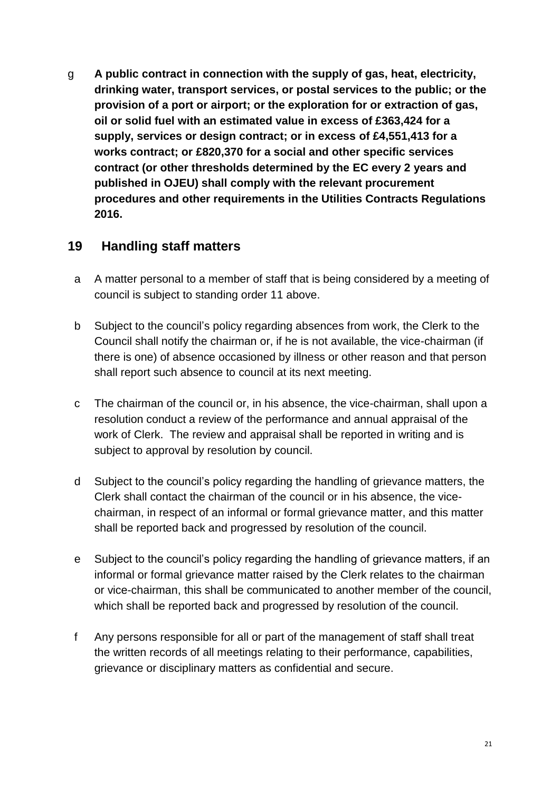g **A public contract in connection with the supply of gas, heat, electricity, drinking water, transport services, or postal services to the public; or the provision of a port or airport; or the exploration for or extraction of gas, oil or solid fuel with an estimated value in excess of £363,424 for a supply, services or design contract; or in excess of £4,551,413 for a works contract; or £820,370 for a social and other specific services contract (or other thresholds determined by the EC every 2 years and published in OJEU) shall comply with the relevant procurement procedures and other requirements in the Utilities Contracts Regulations 2016.**

#### **19 Handling staff matters**

- a A matter personal to a member of staff that is being considered by a meeting of council is subject to standing order 11 above.
- b Subject to the council's policy regarding absences from work, the Clerk to the Council shall notify the chairman or, if he is not available, the vice-chairman (if there is one) of absence occasioned by illness or other reason and that person shall report such absence to council at its next meeting.
- c The chairman of the council or, in his absence, the vice-chairman, shall upon a resolution conduct a review of the performance and annual appraisal of the work of Clerk. The review and appraisal shall be reported in writing and is subject to approval by resolution by council.
- d Subject to the council's policy regarding the handling of grievance matters, the Clerk shall contact the chairman of the council or in his absence, the vicechairman, in respect of an informal or formal grievance matter, and this matter shall be reported back and progressed by resolution of the council.
- e Subject to the council's policy regarding the handling of grievance matters, if an informal or formal grievance matter raised by the Clerk relates to the chairman or vice-chairman, this shall be communicated to another member of the council, which shall be reported back and progressed by resolution of the council.
- f Any persons responsible for all or part of the management of staff shall treat the written records of all meetings relating to their performance, capabilities, grievance or disciplinary matters as confidential and secure.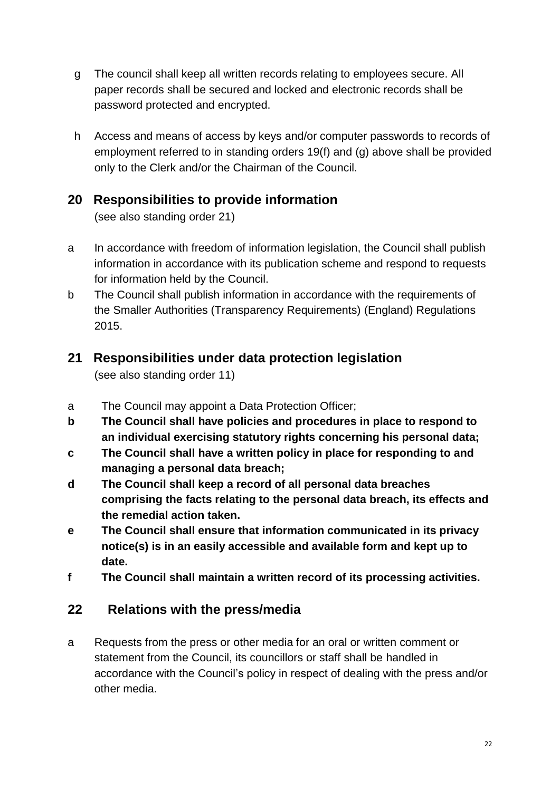- g The council shall keep all written records relating to employees secure. All paper records shall be secured and locked and electronic records shall be password protected and encrypted.
- h Access and means of access by keys and/or computer passwords to records of employment referred to in standing orders 19(f) and (g) above shall be provided only to the Clerk and/or the Chairman of the Council.

### **20 Responsibilities to provide information**

(see also standing order 21)

- a In accordance with freedom of information legislation, the Council shall publish information in accordance with its publication scheme and respond to requests for information held by the Council.
- b The Council shall publish information in accordance with the requirements of the Smaller Authorities (Transparency Requirements) (England) Regulations 2015.

## **21 Responsibilities under data protection legislation**

(see also standing order 11)

- a The Council may appoint a Data Protection Officer;
- **b The Council shall have policies and procedures in place to respond to an individual exercising statutory rights concerning his personal data;**
- **c The Council shall have a written policy in place for responding to and managing a personal data breach;**
- **d The Council shall keep a record of all personal data breaches comprising the facts relating to the personal data breach, its effects and the remedial action taken.**
- **e The Council shall ensure that information communicated in its privacy notice(s) is in an easily accessible and available form and kept up to date.**
- **f The Council shall maintain a written record of its processing activities.**

# **22 Relations with the press/media**

a Requests from the press or other media for an oral or written comment or statement from the Council, its councillors or staff shall be handled in accordance with the Council's policy in respect of dealing with the press and/or other media.